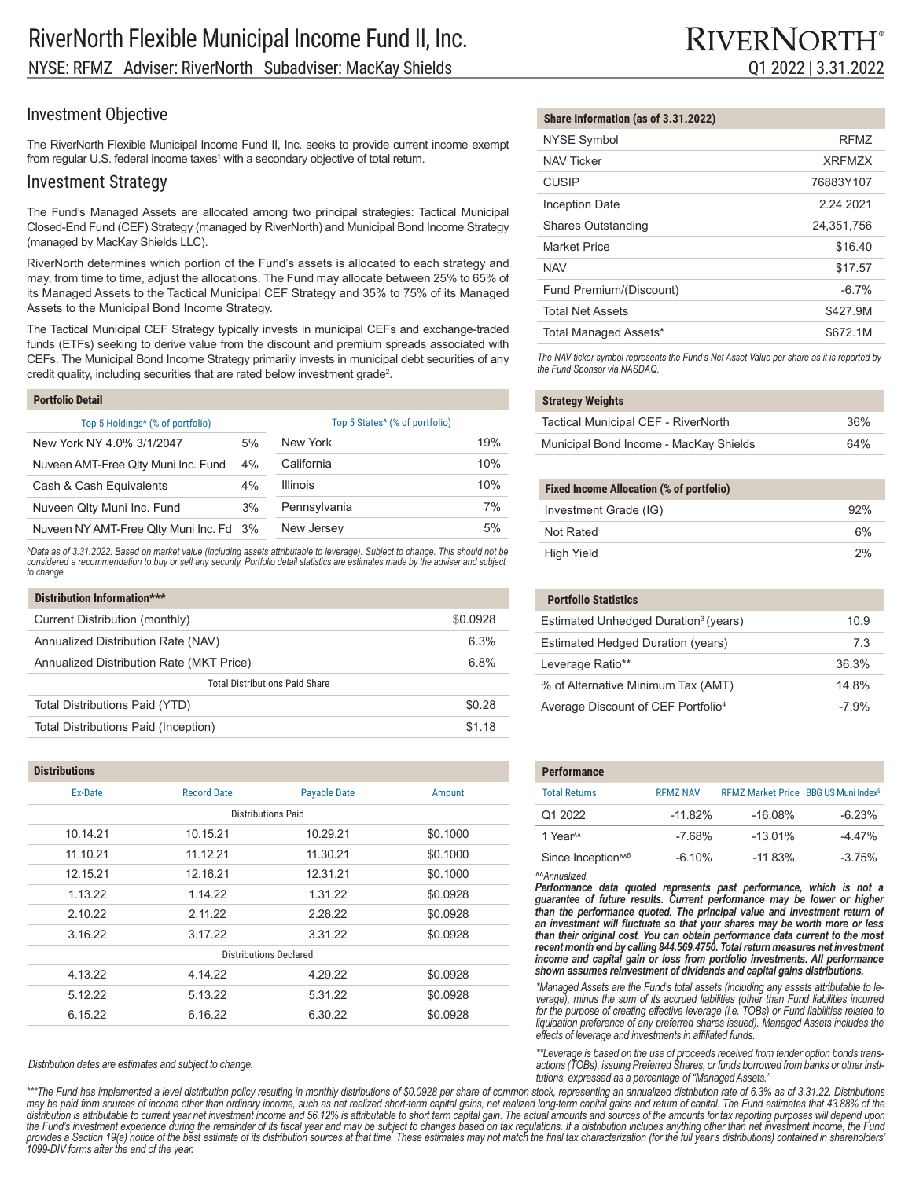## Investment Objective

The RiverNorth Flexible Municipal Income Fund II, Inc. seeks to provide current income exempt from regular U.S. federal income taxes<sup>1</sup> with a secondary objective of total return.

### Investment Strategy

The Fund's Managed Assets are allocated among two principal strategies: Tactical Municipal Closed-End Fund (CEF) Strategy (managed by RiverNorth) and Municipal Bond Income Strategy (managed by MacKay Shields LLC).

RiverNorth determines which portion of the Fund's assets is allocated to each strategy and may, from time to time, adjust the allocations. The Fund may allocate between 25% to 65% of its Managed Assets to the Tactical Municipal CEF Strategy and 35% to 75% of its Managed Assets to the Municipal Bond Income Strategy.

The Tactical Municipal CEF Strategy typically invests in municipal CEFs and exchange-traded funds (ETFs) seeking to derive value from the discount and premium spreads associated with CEFs. The Municipal Bond Income Strategy primarily invests in municipal debt securities of any credit quality, including securities that are rated below investment grade<sup>2</sup>.

#### **Portfolio Detail**

**Distributions**

| Top 5 Holdings <sup>4</sup> (% of portfolio) |    | Top 5 States <sup>^</sup> (% of portfolio) |     |
|----------------------------------------------|----|--------------------------------------------|-----|
| New York NY 4.0% 3/1/2047                    | 5% | New York                                   | 19% |
| Nuveen AMT-Free Qlty Muni Inc. Fund          | 4% | California                                 | 10% |
| Cash & Cash Equivalents                      | 4% | <b>Illinois</b>                            | 10% |
| Nuveen Qlty Muni Inc. Fund                   | 3% | Pennsylvania                               | 7%  |
| Nuveen NY AMT-Free Qlty Muni Inc. Fd 3%      |    | New Jersey                                 | 5%  |

*^Data as of 3.31.2022. Based on market value (including assets attributable to leverage). Subject to change. This should not be considered a recommendation to buy or sell any security. Portfolio detail statistics are estimates made by the adviser and subject to change*

| Distribution Information***              |          |  |
|------------------------------------------|----------|--|
| Current Distribution (monthly)           | \$0.0928 |  |
| Annualized Distribution Rate (NAV)       | 6.3%     |  |
| Annualized Distribution Rate (MKT Price) | 6.8%     |  |
| <b>Total Distributions Paid Share</b>    |          |  |
| Total Distributions Paid (YTD)           | \$0.28   |  |
| Total Distributions Paid (Inception)     | \$1 18   |  |

| <b>DISUIDUUOIIS</b>           |                    |                           |          |
|-------------------------------|--------------------|---------------------------|----------|
| Ex-Date                       | <b>Record Date</b> | <b>Payable Date</b>       | Amount   |
|                               |                    | <b>Distributions Paid</b> |          |
| 10.14.21                      | 10.15.21           | 10.29.21                  | \$0.1000 |
| 11.10.21                      | 11.12.21           | 11.30.21                  | \$0.1000 |
| 12.15.21                      | 12.16.21           | 12.31.21                  | \$0.1000 |
| 1.13.22                       | 1.14.22            | 1.31.22                   | \$0.0928 |
| 2.10.22                       | 2.11.22            | 2.28.22                   | \$0.0928 |
| 3.16.22                       | 3.17.22            | 3.31.22                   | \$0.0928 |
| <b>Distributions Declared</b> |                    |                           |          |
| 4.13.22                       | 4.14.22            | 4.29.22                   | \$0.0928 |
| 5.12.22                       | 5.13.22            | 5.31.22                   | \$0.0928 |
| 6.15.22                       | 6.16.22            | 6.30.22                   | \$0.0928 |

*Distribution dates are estimates and subject to change.*

*1099-DIV forms after the end of the year.*

#### \*\*\*The Fund has implemented a level distribution policy resulting in monthly distributions of \$0.0928 per share of common stock, representing an annualized distribution rate of 6.3% as of 3.31.22. Distributions may be paid from sources of income other than ordinary income, such as net realized short-term capital gains, net realized long-term capital gains and return of capital. The Fund estimates that 43.88% of the<br>distribution i the Fund's investment experience during the remainder of its fiscal year and may be subject to changes based on tax regulations. If a distribution includes anything other than net investment income, the Fund provides a Section 19(a) notice of the best estimate of its distribution sources at that time. These estimates may not match the final tax characterization (for the full year's distributions) contained in shareholders' *actions (TOBs), issuing Preferred Shares, or funds borrowed from banks or other institutions, expressed as a percentage of "Managed Assets."*

# **Share Information (as of 3.31.2022)**

| <b>NYSE Symbol</b>        | RFM7          |
|---------------------------|---------------|
| <b>NAV Ticker</b>         | <b>XRFM7X</b> |
| <b>CUSIP</b>              | 76883Y107     |
| <b>Inception Date</b>     | 2 24 2021     |
| <b>Shares Outstanding</b> | 24,351,756    |
| <b>Market Price</b>       | \$16.40       |
| <b>NAV</b>                | \$17.57       |
| Fund Premium/(Discount)   | $-6.7%$       |
| <b>Total Net Assets</b>   | \$427.9M      |
| Total Managed Assets*     | \$672.1M      |

*The NAV ticker symbol represents the Fund's Net Asset Value per share as it is reported by the Fund Sponsor via NASDAQ.*

#### **Strategy Weights**

| Tactical Municipal CEF - RiverNorth    | 36% |
|----------------------------------------|-----|
| Municipal Bond Income - MacKay Shields | 64% |

## **Fixed Income Allocation (% of portfolio)** Investment Grade (IG) 92%

| Not Rated  | 6% |
|------------|----|
| High Yield | 2% |

| <b>Portfolio Statistics</b>                      |         |
|--------------------------------------------------|---------|
| Estimated Unhedged Duration <sup>3</sup> (years) | 10.9    |
| Estimated Hedged Duration (years)                | 73      |
| Leverage Ratio**                                 | 36.3%   |
| % of Alternative Minimum Tax (AMT)               | 14 8%   |
| Average Discount of CEF Portfolio <sup>4</sup>   | $-7.9%$ |

| <b>Performance</b>             |                 |                                                  |          |
|--------------------------------|-----------------|--------------------------------------------------|----------|
| <b>Total Returns</b>           | <b>RFM7 NAV</b> | RFMZ Market Price BBG US Muni Index <sup>5</sup> |          |
| Q1 2022                        | $-11.82%$       | $-16.08%$                                        | $-6.23%$ |
| 1 Year <sup>M</sup>            | $-7.68%$        | $-13.01%$                                        | $-4.47%$ |
| Since Inception <sup>146</sup> | $-6.10%$        | $-11.83%$                                        | $-3.75%$ |

*^^Annualized.*

Performance data quoted represents past performance, which is not a *guarantee of future results. Current performance may be lower or higher*  than the performance quoted. The principal value and investment return of *an investment will fluctuate so that your shares may be worth more or less than their original cost. You can obtain performance data current to the most recent month end by calling 844.569.4750. Total return measures net investment income and capital gain or loss from portfolio investments. All performance shown assumes reinvestment of dividends and capital gains distributions.*

*\*Managed Assets are the Fund's total assets (including any assets attributable to leverage), minus the sum of its accrued liabilities (other than Fund liabilities incurred for the purpose of creating effective leverage (i.e. TOBs) or Fund liabilities related to liquidation preference of any preferred shares issued). Managed Assets includes the effects of leverage and investments in affiliated funds.*

*\*\*Leverage is based on the use of proceeds received from tender option bonds trans-*